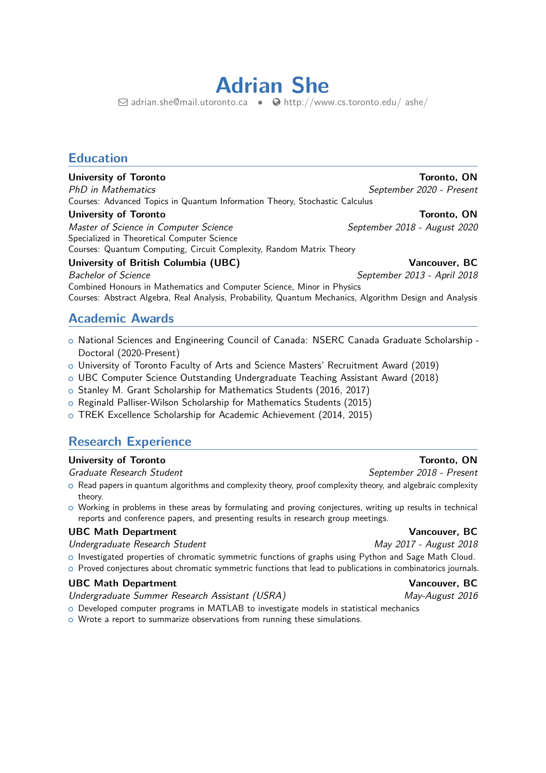# **Adrian She**

 $\boxdot$  [adrian.she@mail.utoronto.ca](mailto:adrian.she@mail.utoronto.ca) •  $\bigcirc$  [http://www.cs.toronto.edu/ ashe/](http://http://www.cs.toronto.edu/~ashe/)

# **Education**

### **University of Toronto Toronto, ON**

PhD in Mathematics September 2020 - Present Courses: Advanced Topics in Quantum Information Theory, Stochastic Calculus

### **University of Toronto** Toronto Toronto, ON

Master of Science in Computer Science Science September 2018 - August 2020 Specialized in Theoretical Computer Science Courses: Quantum Computing, Circuit Complexity, Random Matrix Theory

## **University of British Columbia (UBC) Vancouver, BC**

Bachelor of Science September 2013 - April 2018 Combined Honours in Mathematics and Computer Science, Minor in Physics Courses: Abstract Algebra, Real Analysis, Probability, Quantum Mechanics, Algorithm Design and Analysis

# **Academic Awards**

- o National Sciences and Engineering Council of Canada: NSERC Canada Graduate Scholarship -Doctoral (2020-Present)
- <sup>+</sup> University of Toronto Faculty of Arts and Science Masters' Recruitment Award (2019)
- o UBC Computer Science Outstanding Undergraduate Teaching Assistant Award (2018)
- o Stanley M. Grant Scholarship for Mathematics Students (2016, 2017)
- o Reginald Palliser-Wilson Scholarship for Mathematics Students (2015)
- o TREK Excellence Scholarship for Academic Achievement (2014, 2015)

# **Research Experience**

### **University of Toronto** Toronto Toronto, ON

### Graduate Research Student Superintensity of the September 2018 - Present

- $\circ$  Read papers in quantum algorithms and complexity theory, proof complexity theory, and algebraic complexity theory.
- o Working in problems in these areas by formulating and proving conjectures, writing up results in technical reports and conference papers, and presenting results in research group meetings.

### UBC Math Department **Vancouver, BC**

Undergraduate Research Student May 2017 - August 2018

- o Investigated properties of chromatic symmetric functions of graphs using Python and Sage Math Cloud.
- o Proved conjectures about chromatic symmetric functions that lead to publications in combinatorics journals.

# UBC Math Department **Vancouver, BC**

- Undergraduate Summer Research Assistant (USRA) May-August 2016
- $\circ$  Developed computer programs in MATLAB to investigate models in statistical mechanics
- o Wrote a report to summarize observations from running these simulations.